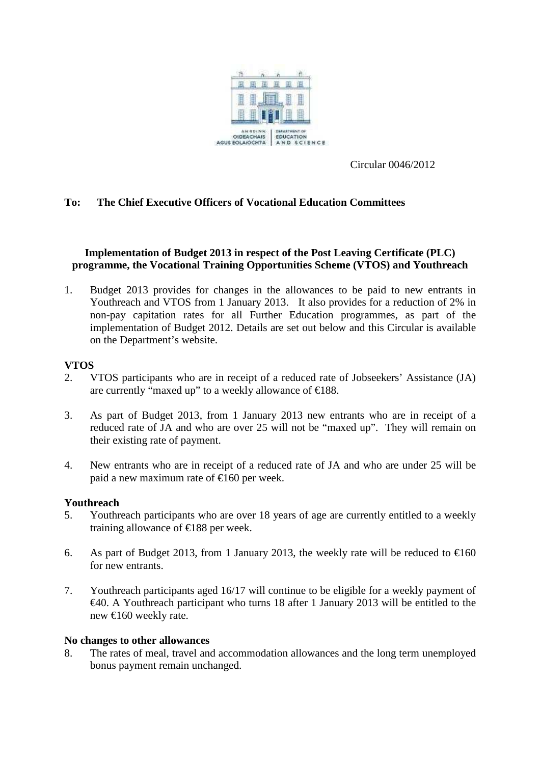

Circular 0046/2012

# **To: The Chief Executive Officers of Vocational Education Committees**

# **Implementation of Budget 2013 in respect of the Post Leaving Certificate (PLC) programme, the Vocational Training Opportunities Scheme (VTOS) and Youthreach**

1. Budget 2013 provides for changes in the allowances to be paid to new entrants in Youthreach and VTOS from 1 January 2013. It also provides for a reduction of 2% in non-pay capitation rates for all Further Education programmes, as part of the implementation of Budget 2012. Details are set out below and this Circular is available on the Department's website.

### **VTOS**

- 2. VTOS participants who are in receipt of a reduced rate of Jobseekers' Assistance (JA) are currently "maxed up" to a weekly allowance of €188.
- 3. As part of Budget 2013, from 1 January 2013 new entrants who are in receipt of a reduced rate of JA and who are over 25 will not be "maxed up". They will remain on their existing rate of payment.
- 4. New entrants who are in receipt of a reduced rate of JA and who are under 25 will be paid a new maximum rate of  $\epsilon$ 160 per week.

### **Youthreach**

- 5. Youthreach participants who are over 18 years of age are currently entitled to a weekly training allowance of  $\epsilon$ 188 per week.
- 6. As part of Budget 2013, from 1 January 2013, the weekly rate will be reduced to  $\epsilon$ 160 for new entrants.
- 7. Youthreach participants aged 16/17 will continue to be eligible for a weekly payment of  $\epsilon$ 40. A Youthreach participant who turns 18 after 1 January 2013 will be entitled to the new €160 weekly rate.

#### **No changes to other allowances**

8. The rates of meal, travel and accommodation allowances and the long term unemployed bonus payment remain unchanged.